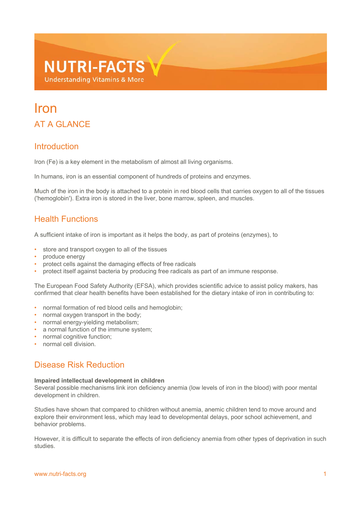# **NUTRI-FACTS Understanding Vitamins & More**

# Iron AT A GLANCE

# **Introduction**

Iron (Fe) is a key element in the metabolism of almost all living organisms.

In humans, iron is an essential component of hundreds of proteins and enzymes.

Much of the iron in the body is attached to a protein in red blood cells that carries oxygen to all of the tissues ('hemoglobin'). Extra iron is stored in the liver, bone marrow, spleen, and muscles.

## Health Functions

A sufficient intake of iron is important as it helps the body, as part of proteins (enzymes), to

- store and transport oxygen to all of the tissues
- produce energy
- protect cells against the damaging effects of free radicals
- protect itself against bacteria by producing free radicals as part of an immune response.

The European Food Safety Authority (EFSA), which provides scientific advice to assist policy makers, has confirmed that clear health benefits have been established for the dietary intake of iron in contributing to:

- normal formation of red blood cells and hemoglobin;
- normal oxygen transport in the body;
- normal energy-yielding metabolism;
- a normal function of the immune system;
- normal cognitive function:
- normal cell division.

# Disease Risk Reduction

#### **Impaired intellectual development in children**

Several possible mechanisms link iron deficiency anemia (low levels of iron in the blood) with poor mental development in children.

Studies have shown that compared to children without anemia, anemic children tend to move around and explore their environment less, which may lead to developmental delays, poor school achievement, and behavior problems.

However, it is difficult to separate the effects of iron deficiency anemia from other types of deprivation in such studies.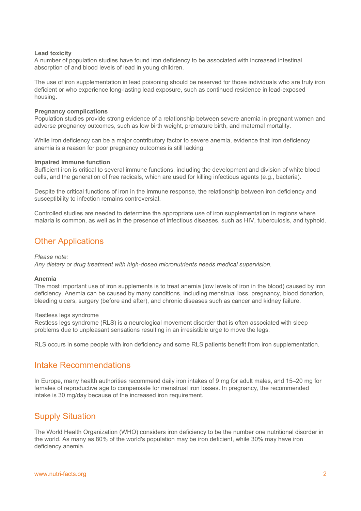#### **Lead toxicity**

A number of population studies have found iron deficiency to be associated with increased intestinal absorption of and blood levels of lead in young children.

The use of iron supplementation in lead poisoning should be reserved for those individuals who are truly iron deficient or who experience long-lasting lead exposure, such as continued residence in lead-exposed housing.

#### **Pregnancy complications**

Population studies provide strong evidence of a relationship between severe anemia in pregnant women and adverse pregnancy outcomes, such as low birth weight, premature birth, and maternal mortality.

While iron deficiency can be a major contributory factor to severe anemia, evidence that iron deficiency anemia is a reason for poor pregnancy outcomes is still lacking.

#### **Impaired immune function**

Sufficient iron is critical to several immune functions, including the development and division of white blood cells, and the generation of free radicals, which are used for killing infectious agents (e.g., bacteria).

Despite the critical functions of iron in the immune response, the relationship between iron deficiency and susceptibility to infection remains controversial.

Controlled studies are needed to determine the appropriate use of iron supplementation in regions where malaria is common, as well as in the presence of infectious diseases, such as HIV, tuberculosis, and typhoid.

### Other Applications

#### *Please note:*

*Any dietary or drug treatment with high-dosed micronutrients needs medical supervision.*

#### **Anemia**

The most important use of iron supplements is to treat anemia (low levels of iron in the blood) caused by iron deficiency. Anemia can be caused by many conditions, including menstrual loss, pregnancy, blood donation, bleeding ulcers, surgery (before and after), and chronic diseases such as cancer and kidney failure.

#### Restless legs syndrome

Restless legs syndrome (RLS) is a neurological movement disorder that is often associated with sleep problems due to unpleasant sensations resulting in an irresistible urge to move the legs.

RLS occurs in some people with iron deficiency and some RLS patients benefit from iron supplementation.

### Intake Recommendations

In Europe, many health authorities recommend daily iron intakes of 9 mg for adult males, and 15–20 mg for females of reproductive age to compensate for menstrual iron losses. In pregnancy, the recommended intake is 30 mg/day because of the increased iron requirement.

### Supply Situation

The World Health Organization (WHO) considers iron deficiency to be the number one nutritional disorder in the world. As many as 80% of the world's population may be iron deficient, while 30% may have iron deficiency anemia.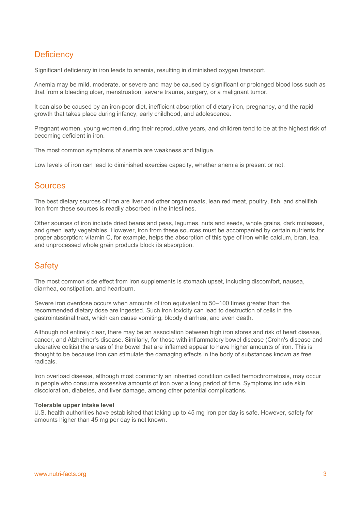# **Deficiency**

Significant deficiency in iron leads to anemia, resulting in diminished oxygen transport.

Anemia may be mild, moderate, or severe and may be caused by significant or prolonged blood loss such as that from a bleeding ulcer, menstruation, severe trauma, surgery, or a malignant tumor.

It can also be caused by an iron-poor diet, inefficient absorption of dietary iron, pregnancy, and the rapid growth that takes place during infancy, early childhood, and adolescence.

Pregnant women, young women during their reproductive years, and children tend to be at the highest risk of becoming deficient in iron.

The most common symptoms of anemia are weakness and fatigue.

Low levels of iron can lead to diminished exercise capacity, whether anemia is present or not.

### **Sources**

The best dietary sources of iron are liver and other organ meats, lean red meat, poultry, fish, and shellfish. Iron from these sources is readily absorbed in the intestines.

Other sources of iron include dried beans and peas, legumes, nuts and seeds, whole grains, dark molasses, and green leafy vegetables. However, iron from these sources must be accompanied by certain nutrients for proper absorption: vitamin C, for example, helps the absorption of this type of iron while calcium, bran, tea, and unprocessed whole grain products block its absorption.

### **Safety**

The most common side effect from iron supplements is stomach upset, including discomfort, nausea, diarrhea, constipation, and heartburn.

Severe iron overdose occurs when amounts of iron equivalent to 50–100 times greater than the recommended dietary dose are ingested. Such iron toxicity can lead to destruction of cells in the gastrointestinal tract, which can cause vomiting, bloody diarrhea, and even death.

Although not entirely clear, there may be an association between high iron stores and risk of heart disease, cancer, and Alzheimer's disease. Similarly, for those with inflammatory bowel disease (Crohn's disease and ulcerative colitis) the areas of the bowel that are inflamed appear to have higher amounts of iron. This is thought to be because iron can stimulate the damaging effects in the body of substances known as free radicals.

Iron overload disease, although most commonly an inherited condition called hemochromatosis, may occur in people who consume excessive amounts of iron over a long period of time. Symptoms include skin discoloration, diabetes, and liver damage, among other potential complications.

#### **Tolerable upper intake level**

U.S. health authorities have established that taking up to 45 mg iron per day is safe. However, safety for amounts higher than 45 mg per day is not known.